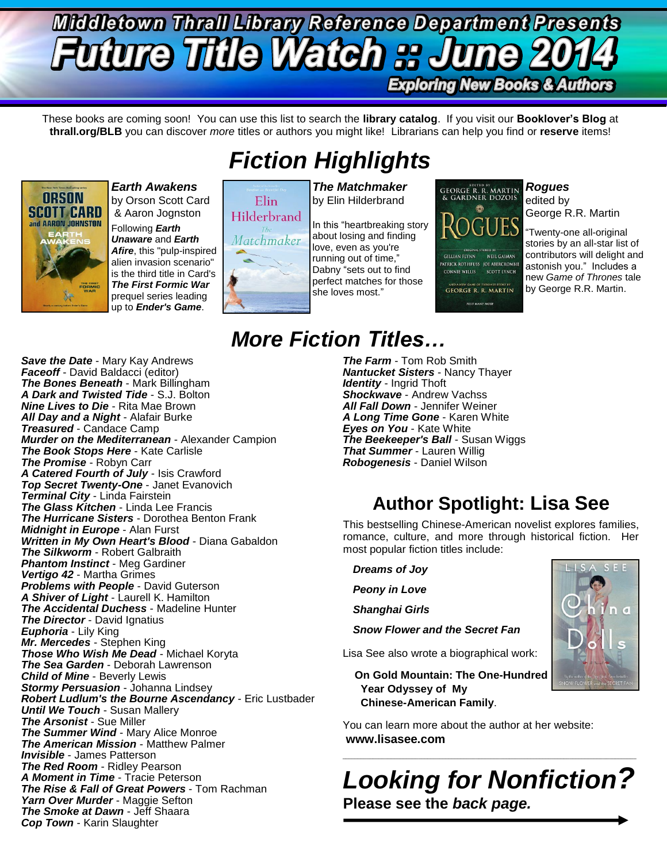## **Middletown Thrall Library Reference Department Presents Future Title Watch :: J Exploring New Books & Authors**

These books are coming soon! You can use this list to search the **library catalog**. If you visit our **Booklover's Blog** at **thrall.org/BLB** you can discover *more* titles or authors you might like! Librarians can help you find or **reserve** items!



*Earth Awakens* by Orson Scott Card & Aaron Jognston

Following *Earth Unaware* and *Earth Afire*, this "pulp-inspired alien invasion scenario" is the third title in Card's *The First Formic War* prequel series leading up to *Ender's Game*.

## *Fiction Highlights*

# Elin. Hilderbrand Matchmaker

*The Matchmaker* by Elin Hilderbrand

In this "heartbreaking story about losing and finding love, even as you're running out of time," Dabny "sets out to find perfect matches for those she loves most."

GEORGE R. R. MARTIN<br>& GARDNER DOZOIS 0 GILLIAN FLYNN NEIL GAIMAN **PATRICK ROTHFUSS JOE ABERCROMBI** CONNIE WILLIS SCOTT LYNCH AND A NEW GAME OF THRONES STORY BY<br>GEORGE R. R. MARTIN **PLUS MANY MORE** 

*Rogues* edited by George R.R. Martin

"Twenty-one all-original stories by an all-star list of contributors will delight and astonish you." Includes a new *Game of Thrones* tale by George R.R. Martin.

#### *Save the Date* - Mary Kay Andrews *Faceoff* - David Baldacci (editor) *The Bones Beneath* - Mark Billingham *A Dark and Twisted Tide* - S.J. Bolton *Nine Lives to Die* - Rita Mae Brown *All Day and a Night* - Alafair Burke *Treasured* - Candace Camp *Murder on the Mediterranean* - Alexander Campion *The Book Stops Here* - Kate Carlisle *The Promise* - Robyn Carr *A Catered Fourth of July* - Isis Crawford *Top Secret Twenty-One* - Janet Evanovich *Terminal City* - Linda Fairstein *The Glass Kitchen* - Linda Lee Francis *The Hurricane Sisters* - Dorothea Benton Frank *Midnight in Europe* - Alan Furst *Written in My Own Heart's Blood* - Diana Gabaldon *The Silkworm* - Robert Galbraith *Phantom Instinct* - Meg Gardiner *Vertigo 42* - Martha Grimes *Problems with People* - David Guterson *A Shiver of Light* - Laurell K. Hamilton *The Accidental Duchess* - Madeline Hunter *The Director* - David Ignatius *Euphoria* - Lily King *Mr. Mercedes* - Stephen King *Those Who Wish Me Dead* - Michael Koryta *The Sea Garden* - Deborah Lawrenson *Child of Mine* - Beverly Lewis *Stormy Persuasion* - Johanna Lindsey *Robert Ludlum's the Bourne Ascendancy* - Eric Lustbader *Until We Touch* - Susan Mallery *The Arsonist* - Sue Miller *The Summer Wind* - Mary Alice Monroe *The American Mission* - Matthew Palmer *Invisible* - James Patterson *The Red Room - Ridley Pearson A Moment in Time* - Tracie Peterson *The Rise & Fall of Great Powers* - Tom Rachman *Yarn Over Murder* - Maggie Sefton *The Smoke at Dawn* - Jeff Shaara *Cop Town* - Karin Slaughter

## *More Fiction Titles…*

*The Farm* - Tom Rob Smith *Nantucket Sisters* - Nancy Thayer *Identity* - Ingrid Thoft *Shockwave* - Andrew Vachss *All Fall Down* - Jennifer Weiner *A Long Time Gone* - Karen White *Eyes on You* - Kate White *The Beekeeper's Ball* - Susan Wiggs *That Summer* - Lauren Willig *Robogenesis* - Daniel Wilson

## **Author Spotlight: Lisa See**

This bestselling Chinese-American novelist explores families, romance, culture, and more through historical fiction. Her most popular fiction titles include:

*Dreams of Joy Peony in Love Shanghai Girls Snow Flower and the Secret Fan*

Lisa See also wrote a biographical work:

 **On Gold Mountain: The One-Hundred Year Odyssey of My Chinese-American Family**.

You can learn more about the author at her website: **www.lisasee.com**

*Looking for Nonfiction?* **Please see the** *back page.*

 $\_$  ,  $\_$  ,  $\_$  ,  $\_$  ,  $\_$  ,  $\_$  ,  $\_$  ,  $\_$  ,  $\_$  ,  $\_$  ,  $\_$  ,  $\_$  ,  $\_$  ,  $\_$  ,  $\_$  ,  $\_$  ,  $\_$  ,  $\_$  ,  $\_$  ,  $\_$  ,  $\_$  ,  $\_$  ,  $\_$  ,  $\_$  ,  $\_$  ,  $\_$  ,  $\_$  ,  $\_$  ,  $\_$  ,  $\_$  ,  $\_$  ,  $\_$  ,  $\_$  ,  $\_$  ,  $\_$  ,  $\_$  ,  $\_$  ,